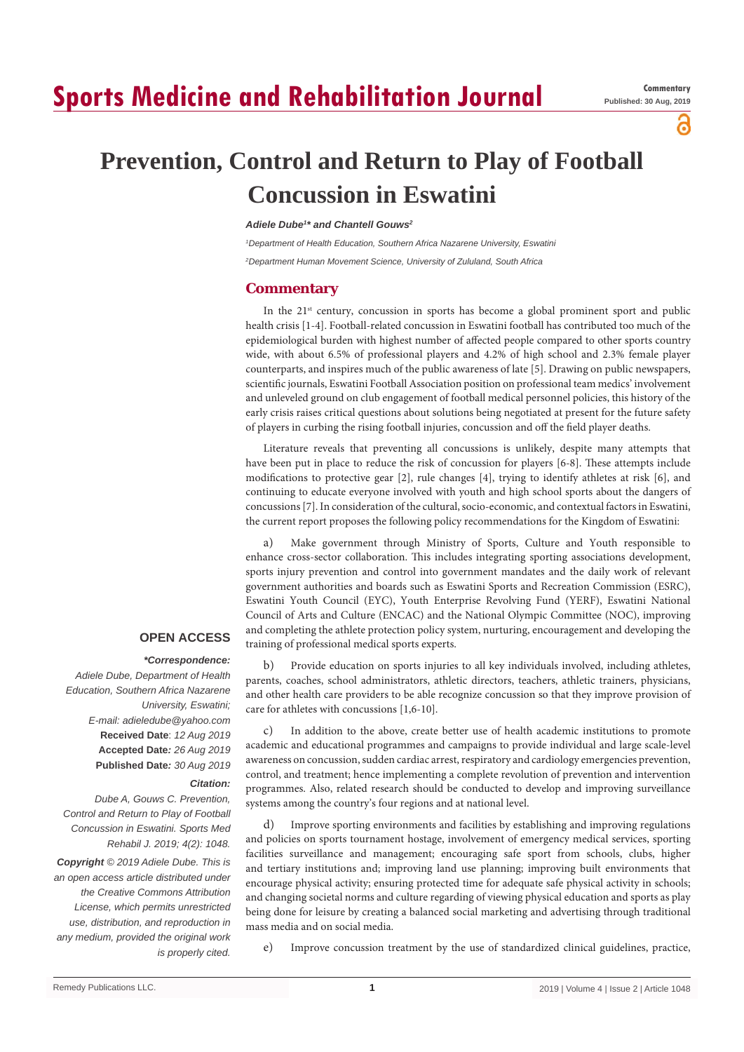# **Sports Medicine and Rehabilitation Journal**

а

# **Prevention, Control and Return to Play of Football Concussion in Eswatini**

#### *Adiele Dube1 \* and Chantell Gouws2*

*1 Department of Health Education, Southern Africa Nazarene University, Eswatini 2 Department Human Movement Science, University of Zululand, South Africa*

### **Commentary**

In the  $21<sup>st</sup>$  century, concussion in sports has become a global prominent sport and public health crisis [1-4]. Football-related concussion in Eswatini football has contributed too much of the epidemiological burden with highest number of affected people compared to other sports country wide, with about 6.5% of professional players and 4.2% of high school and 2.3% female player counterparts, and inspires much of the public awareness of late [5]. Drawing on public newspapers, scientific journals, Eswatini Football Association position on professional team medics' involvement and unleveled ground on club engagement of football medical personnel policies, this history of the early crisis raises critical questions about solutions being negotiated at present for the future safety of players in curbing the rising football injuries, concussion and off the field player deaths.

Literature reveals that preventing all concussions is unlikely, despite many attempts that have been put in place to reduce the risk of concussion for players [6-8]. These attempts include modifications to protective gear [2], rule changes [4], trying to identify athletes at risk [6], and continuing to educate everyone involved with youth and high school sports about the dangers of concussions [7]. In consideration of the cultural, socio-economic, and contextual factors in Eswatini, the current report proposes the following policy recommendations for the Kingdom of Eswatini:

a) Make government through Ministry of Sports, Culture and Youth responsible to enhance cross-sector collaboration. This includes integrating sporting associations development, sports injury prevention and control into government mandates and the daily work of relevant government authorities and boards such as Eswatini Sports and Recreation Commission (ESRC), Eswatini Youth Council (EYC), Youth Enterprise Revolving Fund (YERF), Eswatini National Council of Arts and Culture (ENCAC) and the National Olympic Committee (NOC), improving and completing the athlete protection policy system, nurturing, encouragement and developing the training of professional medical sports experts.

## **OPEN ACCESS**

#### *\*Correspondence:*

*Adiele Dube, Department of Health Education, Southern Africa Nazarene University, Eswatini; E-mail: adieledube@yahoo.com* **Received Date**: *12 Aug 2019* **Accepted Date***: 26 Aug 2019* **Published Date***: 30 Aug 2019*

### *Citation:*

*Dube A, Gouws C. Prevention, Control and Return to Play of Football Concussion in Eswatini. Sports Med Rehabil J. 2019; 4(2): 1048.*

*Copyright © 2019 Adiele Dube. This is an open access article distributed under the Creative Commons Attribution License, which permits unrestricted use, distribution, and reproduction in any medium, provided the original work is properly cited.*

b) Provide education on sports injuries to all key individuals involved, including athletes, parents, coaches, school administrators, athletic directors, teachers, athletic trainers, physicians, and other health care providers to be able recognize concussion so that they improve provision of care for athletes with concussions [1,6-10].

c) In addition to the above, create better use of health academic institutions to promote academic and educational programmes and campaigns to provide individual and large scale-level awareness on concussion, sudden cardiac arrest, respiratory and cardiology emergencies prevention, control, and treatment; hence implementing a complete revolution of prevention and intervention programmes. Also, related research should be conducted to develop and improving surveillance systems among the country's four regions and at national level.

d) Improve sporting environments and facilities by establishing and improving regulations and policies on sports tournament hostage, involvement of emergency medical services, sporting facilities surveillance and management; encouraging safe sport from schools, clubs, higher and tertiary institutions and; improving land use planning; improving built environments that encourage physical activity; ensuring protected time for adequate safe physical activity in schools; and changing societal norms and culture regarding of viewing physical education and sports as play being done for leisure by creating a balanced social marketing and advertising through traditional mass media and on social media.

e) Improve concussion treatment by the use of standardized clinical guidelines, practice,